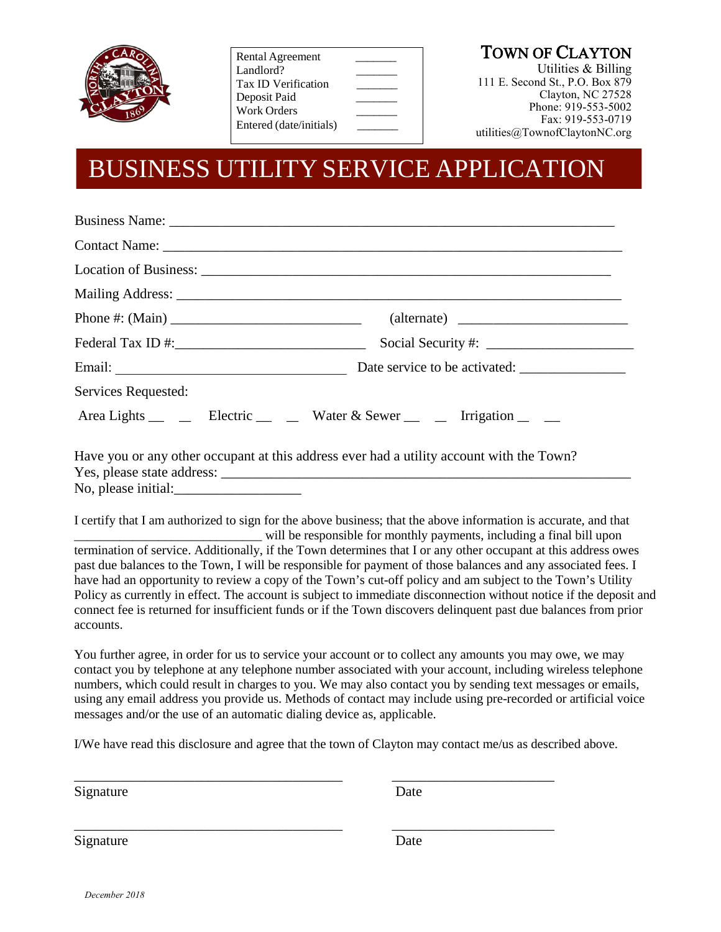

Rental Agreement Landlord? Tax ID Verification \_\_\_\_\_\_\_ Deposit Paid Work Orders Entered (date/initials) \_\_\_\_\_\_\_

Utilities & Billing 111 E. Second St., P.O. Box 879 Clayton, NC 27528 Phone: 919-553-5002 Fax: 919-553-0719 utilities@TownofClaytonNC.org

### BUSINESS UTILITY SERVICE APPLICATION

|                                           | <b>Business Name:</b> <u>Department</u> of the contract of the contract of the contract of the contract of the contract of the contract of the contract of the contract of the contract of the contract of the contract of the contract |
|-------------------------------------------|-----------------------------------------------------------------------------------------------------------------------------------------------------------------------------------------------------------------------------------------|
|                                           |                                                                                                                                                                                                                                         |
|                                           |                                                                                                                                                                                                                                         |
|                                           |                                                                                                                                                                                                                                         |
|                                           |                                                                                                                                                                                                                                         |
| Federal Tax ID #: $\frac{1}{2}$ Tax ID #: |                                                                                                                                                                                                                                         |
|                                           |                                                                                                                                                                                                                                         |
| Services Requested:                       |                                                                                                                                                                                                                                         |
|                                           |                                                                                                                                                                                                                                         |
|                                           | Have you or any other occupant at this address ever had a utility account with the Town?                                                                                                                                                |
| No, please initial:                       |                                                                                                                                                                                                                                         |
|                                           | I certify that I am authorized to sign for the above business; that the above information is accurate, and that                                                                                                                         |

\_\_\_\_\_\_\_\_\_\_\_\_\_\_\_\_\_\_\_\_\_\_\_\_\_\_\_\_\_ will be responsible for monthly payments, including a final bill upon termination of service. Additionally, if the Town determines that I or any other occupant at this address owes past due balances to the Town, I will be responsible for payment of those balances and any associated fees. I have had an opportunity to review a copy of the Town's cut-off policy and am subject to the Town's Utility Policy as currently in effect. The account is subject to immediate disconnection without notice if the deposit and connect fee is returned for insufficient funds or if the Town discovers delinquent past due balances from prior accounts.

You further agree, in order for us to service your account or to collect any amounts you may owe, we may contact you by telephone at any telephone number associated with your account, including wireless telephone numbers, which could result in charges to you. We may also contact you by sending text messages or emails, using any email address you provide us. Methods of contact may include using pre-recorded or artificial voice messages and/or the use of an automatic dialing device as, applicable.

I/We have read this disclosure and agree that the town of Clayton may contact me/us as described above.

\_\_\_\_\_\_\_\_\_\_\_\_\_\_\_\_\_\_\_\_\_\_\_\_\_\_\_\_\_\_\_\_\_\_\_\_\_\_ \_\_\_\_\_\_\_\_\_\_\_\_\_\_\_\_\_\_\_\_\_\_\_

\_\_\_\_\_\_\_\_\_\_\_\_\_\_\_\_\_\_\_\_\_\_\_\_\_\_\_\_\_\_\_\_\_\_\_\_\_\_ \_\_\_\_\_\_\_\_\_\_\_\_\_\_\_\_\_\_\_\_\_\_\_

Signature Date

Signature Date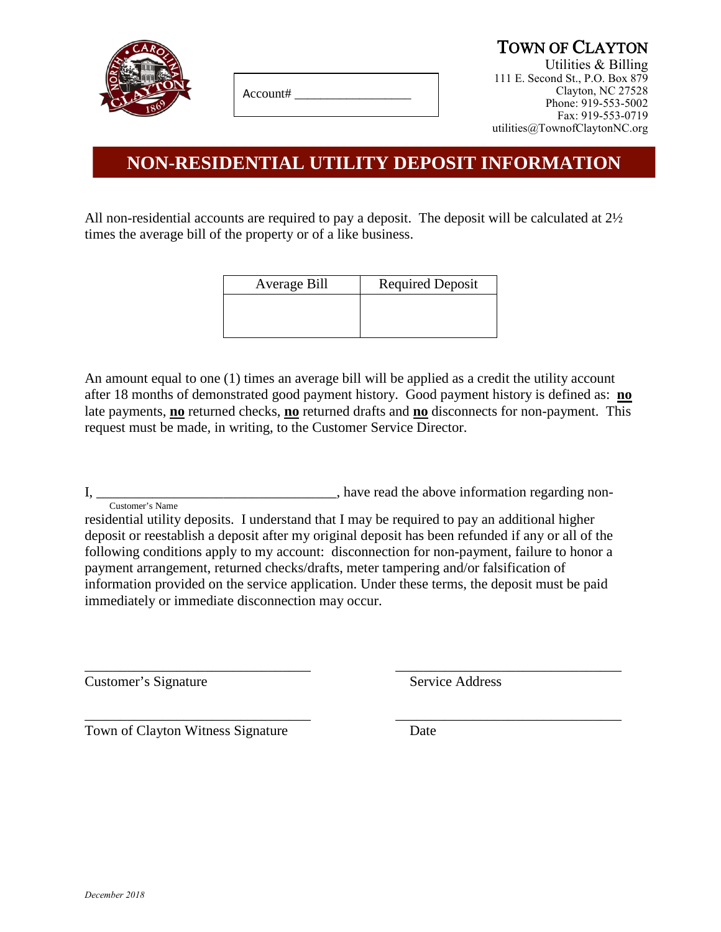

Account# \_\_\_\_\_\_\_\_\_\_\_\_\_\_\_\_\_\_

TOWN OF CLAYTON<br>Utilities & Billing 111 E. Second St., P.O. Box 879 Clayton, NC 27528 Phone: 919-553-5002 Fax: 919-553-0719 utilities@TownofClaytonNC.org

### **NON-RESIDENTIAL UTILITY DEPOSIT INFORMATION**

All non-residential accounts are required to pay a deposit. The deposit will be calculated at 2½ times the average bill of the property or of a like business.

| Average Bill | <b>Required Deposit</b> |  |
|--------------|-------------------------|--|
|              |                         |  |
|              |                         |  |

An amount equal to one (1) times an average bill will be applied as a credit the utility account after 18 months of demonstrated good payment history. Good payment history is defined as: **no** late payments, **no** returned checks, **no** returned drafts and **no** disconnects for non-payment. This request must be made, in writing, to the Customer Service Director.

I, \_\_\_\_\_\_\_\_\_\_\_\_\_\_\_\_\_\_\_\_\_\_\_\_\_\_\_\_\_\_\_\_\_, have read the above information regarding non-Customer's Name

residential utility deposits. I understand that I may be required to pay an additional higher deposit or reestablish a deposit after my original deposit has been refunded if any or all of the following conditions apply to my account: disconnection for non-payment, failure to honor a payment arrangement, returned checks/drafts, meter tampering and/or falsification of information provided on the service application. Under these terms, the deposit must be paid immediately or immediate disconnection may occur.

\_\_\_\_\_\_\_\_\_\_\_\_\_\_\_\_\_\_\_\_\_\_\_\_\_\_\_\_\_\_\_\_ \_\_\_\_\_\_\_\_\_\_\_\_\_\_\_\_\_\_\_\_\_\_\_\_\_\_\_\_\_\_\_\_

Customer's Signature Service Address

\_\_\_\_\_\_\_\_\_\_\_\_\_\_\_\_\_\_\_\_\_\_\_\_\_\_\_\_\_\_\_\_ \_\_\_\_\_\_\_\_\_\_\_\_\_\_\_\_\_\_\_\_\_\_\_\_\_\_\_\_\_\_\_\_ Town of Clayton Witness Signature Date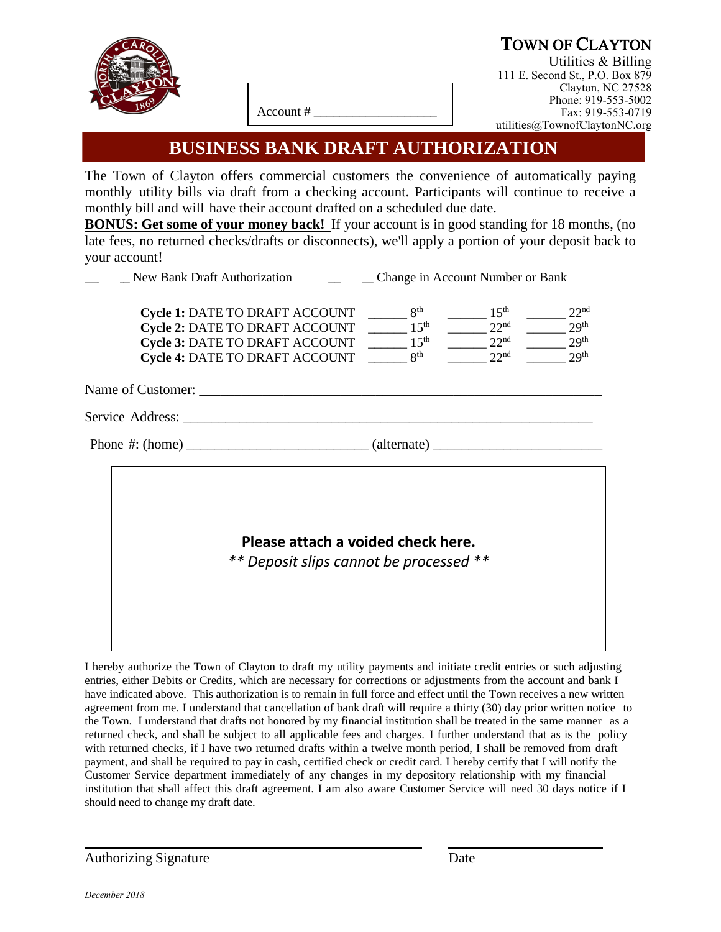

### TOWN OF CLAYTON Utilities & Billing

111 E. Second St., P.O. Box 879 Clayton, NC 27528 Phone: 919-553-5002 Fax: 919-553-0719 utilities@TownofClaytonNC.org

Account # \_\_\_\_\_\_\_\_\_\_\_\_\_\_\_\_\_\_\_

#### **BUSINESS BANK DRAFT AUTHORIZATION**

The Town of Clayton offers commercial customers the convenience of automatically paying monthly utility bills via draft from a checking account. Participants will continue to receive a monthly bill and will have their account drafted on a scheduled due date.

**BONUS: Get some of your money back!** If your account is in good standing for 18 months, (no late fees, no returned checks/drafts or disconnects), we'll apply a portion of your deposit back to your account!

| <b>New Bank Draft Authorization</b>                                                                                                                                                                         | _____________ Change in Account Number or Bank |                                                                              |                                                                              |
|-------------------------------------------------------------------------------------------------------------------------------------------------------------------------------------------------------------|------------------------------------------------|------------------------------------------------------------------------------|------------------------------------------------------------------------------|
| Cycle 1: DATE TO DRAFT ACCOUNT<br>Cycle 2: DATE TO DRAFT ACCOUNT $\qquad \qquad \qquad 15^{\text{th}}$<br>Cycle 3: DATE TO DRAFT ACCOUNT $\qquad \qquad$ 15 <sup>th</sup><br>Cycle 4: DATE TO DRAFT ACCOUNT | 8 <sup>th</sup><br>8 <sup>th</sup>             | 15 <sup>th</sup><br>22 <sup>nd</sup><br>22 <sup>nd</sup><br>22 <sup>nd</sup> | 22 <sup>nd</sup><br>29 <sup>th</sup><br>29 <sup>th</sup><br>29 <sup>th</sup> |
|                                                                                                                                                                                                             |                                                |                                                                              |                                                                              |
|                                                                                                                                                                                                             |                                                |                                                                              |                                                                              |
|                                                                                                                                                                                                             |                                                |                                                                              |                                                                              |
| Please attach a voided check here.<br>** Deposit slips cannot be processed **                                                                                                                               |                                                |                                                                              |                                                                              |

I hereby authorize the Town of Clayton to draft my utility payments and initiate credit entries or such adjusting entries, either Debits or Credits, which are necessary for corrections or adjustments from the account and bank I have indicated above. This authorization is to remain in full force and effect until the Town receives a new written agreement from me. I understand that cancellation of bank draft will require a thirty (30) day prior written notice to the Town. I understand that drafts not honored by my financial institution shall be treated in the same manner as a returned check, and shall be subject to all applicable fees and charges. I further understand that as is the policy with returned checks, if I have two returned drafts within a twelve month period, I shall be removed from draft payment, and shall be required to pay in cash, certified check or credit card. I hereby certify that I will notify the Customer Service department immediately of any changes in my depository relationship with my financial institution that shall affect this draft agreement. I am also aware Customer Service will need 30 days notice if I should need to change my draft date.

Authorizing Signature Date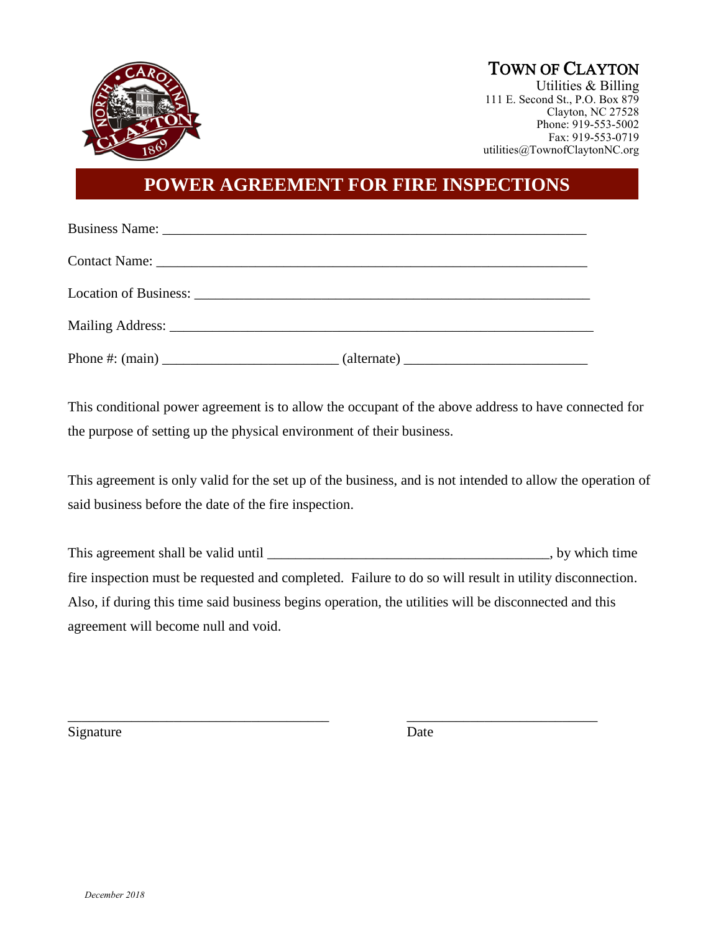

# TOWN OF CLAYTON<br>Utilities & Billing

111 E. Second St., P.O. Box 879 Clayton, NC 27528 Phone: 919-553-5002 Fax: 919-553-0719 utilities@TownofClaytonNC.org

#### **POWER AGREEMENT FOR FIRE INSPECTIONS**

This conditional power agreement is to allow the occupant of the above address to have connected for the purpose of setting up the physical environment of their business.

This agreement is only valid for the set up of the business, and is not intended to allow the operation of said business before the date of the fire inspection.

This agreement shall be valid until \_\_\_\_\_\_\_\_\_\_\_\_\_\_\_\_\_\_\_\_\_\_\_\_\_\_\_\_\_\_\_\_\_\_\_\_\_\_\_\_, by which time fire inspection must be requested and completed. Failure to do so will result in utility disconnection. Also, if during this time said business begins operation, the utilities will be disconnected and this agreement will become null and void.

\_\_\_\_\_\_\_\_\_\_\_\_\_\_\_\_\_\_\_\_\_\_\_\_\_\_\_\_\_\_\_\_\_\_\_\_\_ \_\_\_\_\_\_\_\_\_\_\_\_\_\_\_\_\_\_\_\_\_\_\_\_\_\_\_

Signature Date